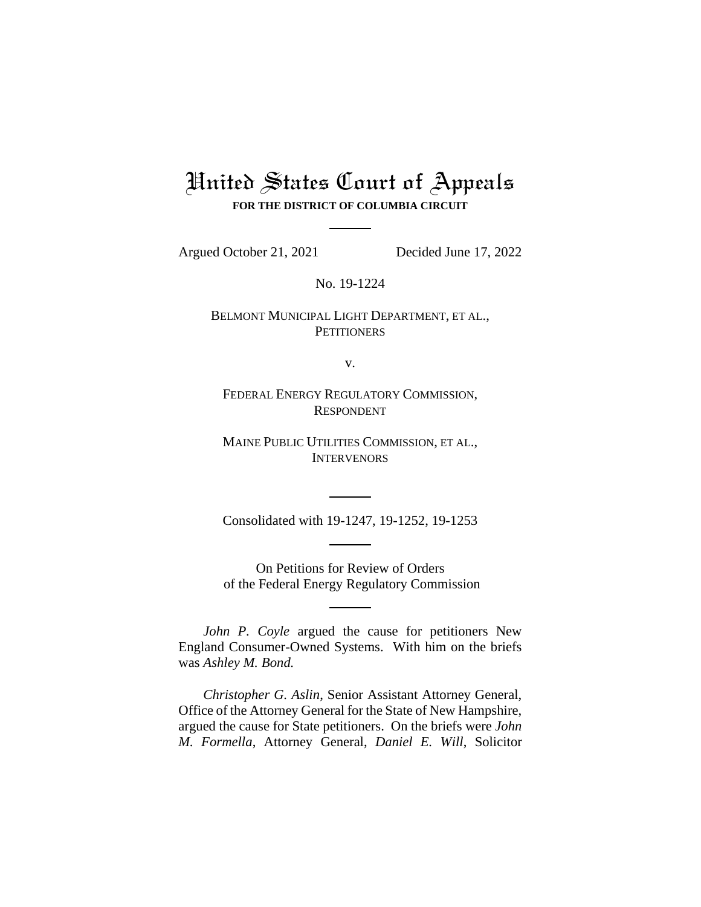# United States Court of Appeals **FOR THE DISTRICT OF COLUMBIA CIRCUIT**

Argued October 21, 2021 Decided June 17, 2022

No. 19-1224

BELMONT MUNICIPAL LIGHT DEPARTMENT, ET AL., **PETITIONERS** 

v.

FEDERAL ENERGY REGULATORY COMMISSION, RESPONDENT

MAINE PUBLIC UTILITIES COMMISSION, ET AL., **INTERVENORS** 

Consolidated with 19-1247, 19-1252, 19-1253

On Petitions for Review of Orders of the Federal Energy Regulatory Commission

*John P. Coyle* argued the cause for petitioners New England Consumer-Owned Systems. With him on the briefs was *Ashley M. Bond.*

*Christopher G. Aslin*, Senior Assistant Attorney General, Office of the Attorney General for the State of New Hampshire, argued the cause for State petitioners. On the briefs were *John M. Formella*, Attorney General, *Daniel E. Will*, Solicitor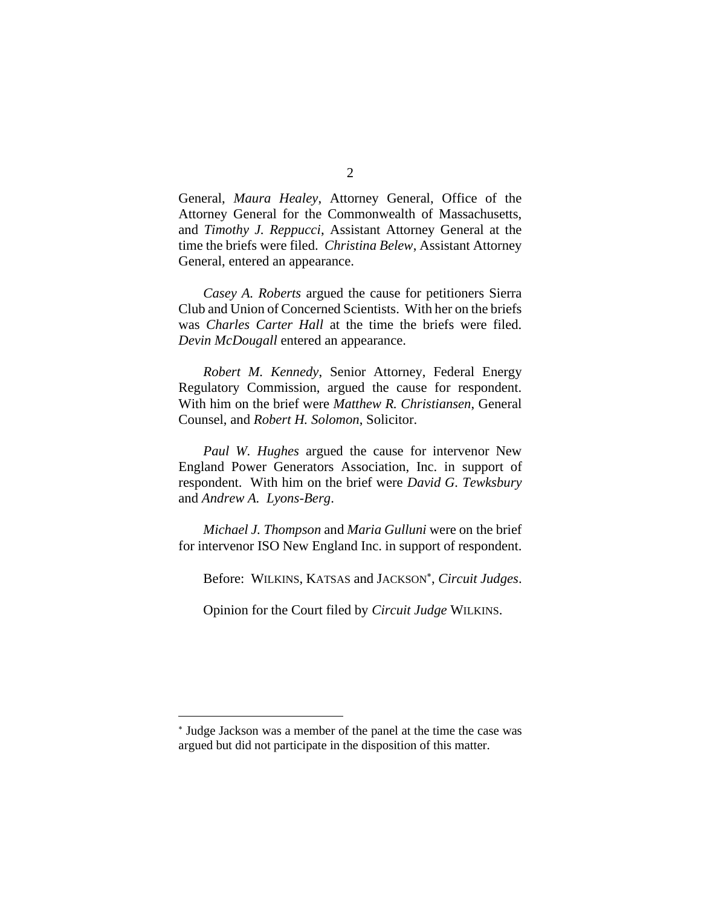General, *Maura Healey*, Attorney General, Office of the Attorney General for the Commonwealth of Massachusetts, and *Timothy J. Reppucci*, Assistant Attorney General at the time the briefs were filed. *Christina Belew*, Assistant Attorney General, entered an appearance.

*Casey A. Roberts* argued the cause for petitioners Sierra Club and Union of Concerned Scientists. With her on the briefs was *Charles Carter Hall* at the time the briefs were filed. *Devin McDougall* entered an appearance.

*Robert M. Kennedy*, Senior Attorney, Federal Energy Regulatory Commission, argued the cause for respondent. With him on the brief were *Matthew R. Christiansen*, General Counsel, and *Robert H. Solomon*, Solicitor.

*Paul W. Hughes* argued the cause for intervenor New England Power Generators Association, Inc. in support of respondent. With him on the brief were *David G. Tewksbury* and *Andrew A. Lyons-Berg*.

*Michael J. Thompson* and *Maria Gulluni* were on the brief for intervenor ISO New England Inc. in support of respondent.

Before: WILKINS, KATSAS and JACKSON , *Circuit Judges*.

Opinion for the Court filed by *Circuit Judge* WILKINS.

Judge Jackson was a member of the panel at the time the case was argued but did not participate in the disposition of this matter.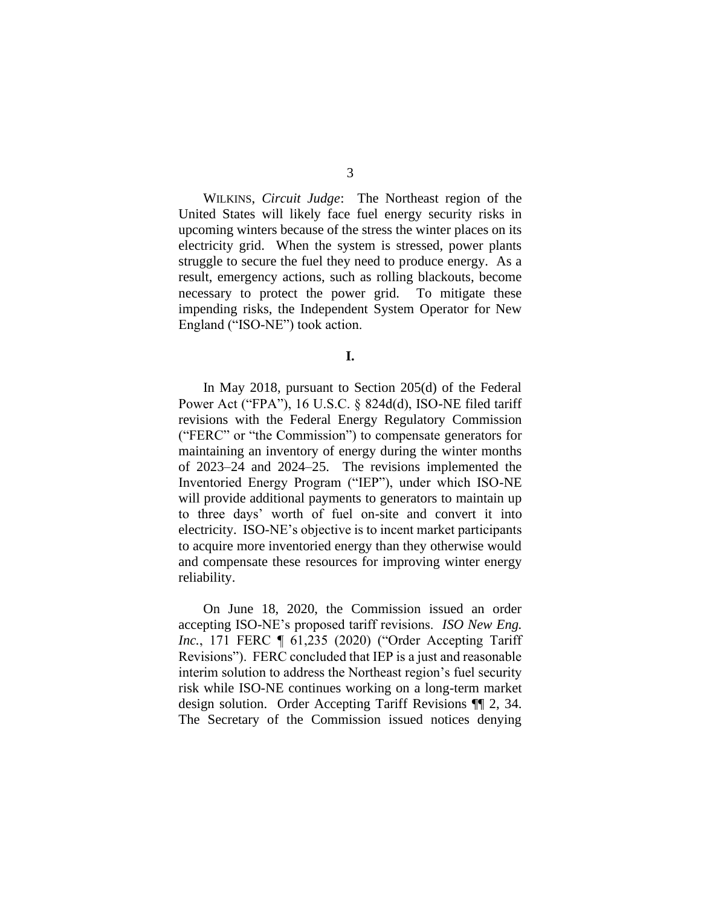WILKINS, *Circuit Judge*: The Northeast region of the United States will likely face fuel energy security risks in upcoming winters because of the stress the winter places on its electricity grid. When the system is stressed, power plants struggle to secure the fuel they need to produce energy. As a result, emergency actions, such as rolling blackouts, become necessary to protect the power grid. To mitigate these impending risks, the Independent System Operator for New England ("ISO-NE") took action.

**I.**

In May 2018, pursuant to Section 205(d) of the Federal Power Act ("FPA"), 16 U.S.C. § 824d(d), ISO-NE filed tariff revisions with the Federal Energy Regulatory Commission ("FERC" or "the Commission") to compensate generators for maintaining an inventory of energy during the winter months of 2023–24 and 2024–25. The revisions implemented the Inventoried Energy Program ("IEP"), under which ISO-NE will provide additional payments to generators to maintain up to three days' worth of fuel on-site and convert it into electricity. ISO-NE's objective is to incent market participants to acquire more inventoried energy than they otherwise would and compensate these resources for improving winter energy reliability.

On June 18, 2020, the Commission issued an order accepting ISO-NE's proposed tariff revisions. *ISO New Eng. Inc.*, 171 FERC 1 61,235 (2020) ("Order Accepting Tariff Revisions"). FERC concluded that IEP is a just and reasonable interim solution to address the Northeast region's fuel security risk while ISO-NE continues working on a long-term market design solution. Order Accepting Tariff Revisions ¶¶ 2, 34. The Secretary of the Commission issued notices denying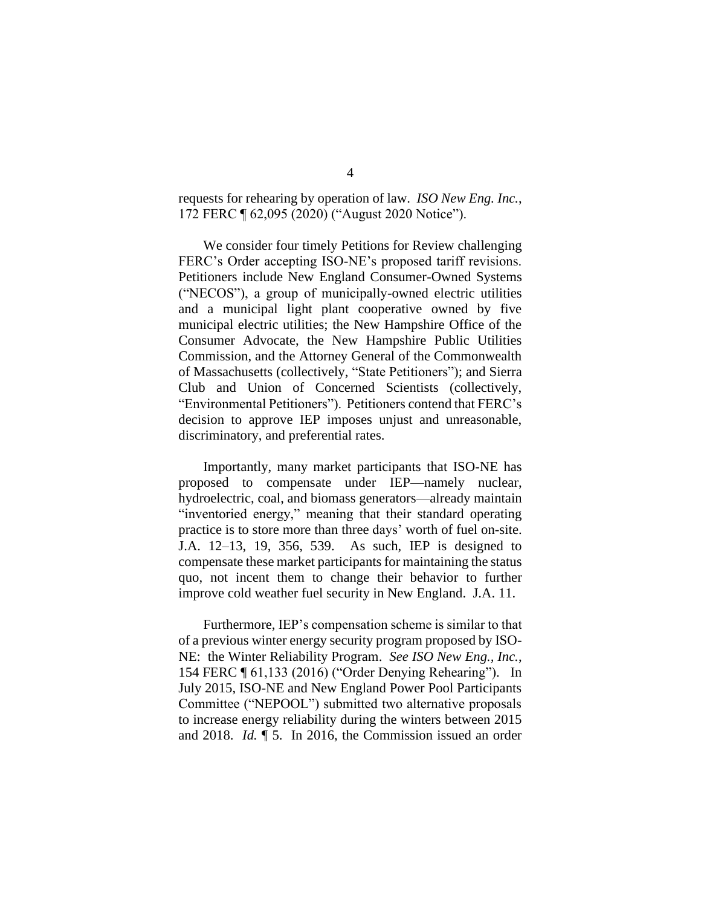requests for rehearing by operation of law. *ISO New Eng. Inc.*, 172 FERC ¶ 62,095 (2020) ("August 2020 Notice").

We consider four timely Petitions for Review challenging FERC's Order accepting ISO-NE's proposed tariff revisions. Petitioners include New England Consumer-Owned Systems ("NECOS"), a group of municipally-owned electric utilities and a municipal light plant cooperative owned by five municipal electric utilities; the New Hampshire Office of the Consumer Advocate, the New Hampshire Public Utilities Commission, and the Attorney General of the Commonwealth of Massachusetts (collectively, "State Petitioners"); and Sierra Club and Union of Concerned Scientists (collectively, "Environmental Petitioners"). Petitioners contend that FERC's decision to approve IEP imposes unjust and unreasonable, discriminatory, and preferential rates.

Importantly, many market participants that ISO-NE has proposed to compensate under IEP—namely nuclear, hydroelectric, coal, and biomass generators—already maintain "inventoried energy," meaning that their standard operating practice is to store more than three days' worth of fuel on-site. J.A. 12–13, 19, 356, 539. As such, IEP is designed to compensate these market participants for maintaining the status quo, not incent them to change their behavior to further improve cold weather fuel security in New England. J.A. 11.

Furthermore, IEP's compensation scheme is similar to that of a previous winter energy security program proposed by ISO-NE: the Winter Reliability Program. *See ISO New Eng., Inc.*, 154 FERC ¶ 61,133 (2016) ("Order Denying Rehearing"). In July 2015, ISO-NE and New England Power Pool Participants Committee ("NEPOOL") submitted two alternative proposals to increase energy reliability during the winters between 2015 and 2018. *Id.* ¶ 5. In 2016, the Commission issued an order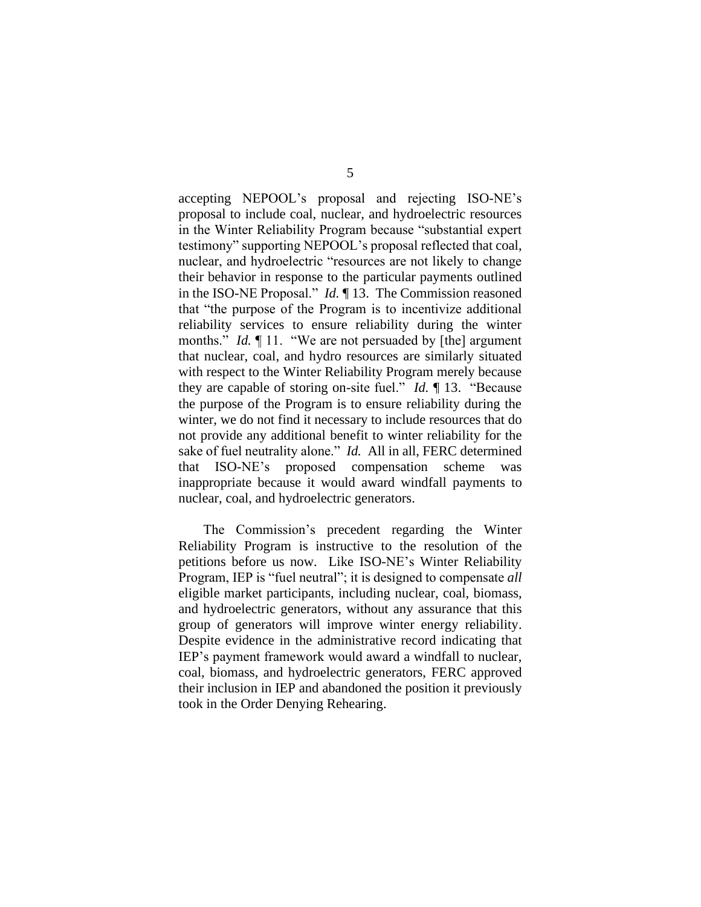accepting NEPOOL's proposal and rejecting ISO-NE's proposal to include coal, nuclear, and hydroelectric resources in the Winter Reliability Program because "substantial expert testimony" supporting NEPOOL's proposal reflected that coal, nuclear, and hydroelectric "resources are not likely to change their behavior in response to the particular payments outlined in the ISO-NE Proposal." *Id.* ¶ 13. The Commission reasoned that "the purpose of the Program is to incentivize additional reliability services to ensure reliability during the winter months." *Id.* 11. "We are not persuaded by [the] argument that nuclear, coal, and hydro resources are similarly situated with respect to the Winter Reliability Program merely because they are capable of storing on-site fuel." *Id.* ¶ 13. "Because the purpose of the Program is to ensure reliability during the winter, we do not find it necessary to include resources that do not provide any additional benefit to winter reliability for the sake of fuel neutrality alone." *Id.* All in all, FERC determined that ISO-NE's proposed compensation scheme was inappropriate because it would award windfall payments to nuclear, coal, and hydroelectric generators.

The Commission's precedent regarding the Winter Reliability Program is instructive to the resolution of the petitions before us now. Like ISO-NE's Winter Reliability Program, IEP is "fuel neutral"; it is designed to compensate *all* eligible market participants, including nuclear, coal, biomass, and hydroelectric generators, without any assurance that this group of generators will improve winter energy reliability. Despite evidence in the administrative record indicating that IEP's payment framework would award a windfall to nuclear, coal, biomass, and hydroelectric generators, FERC approved their inclusion in IEP and abandoned the position it previously took in the Order Denying Rehearing.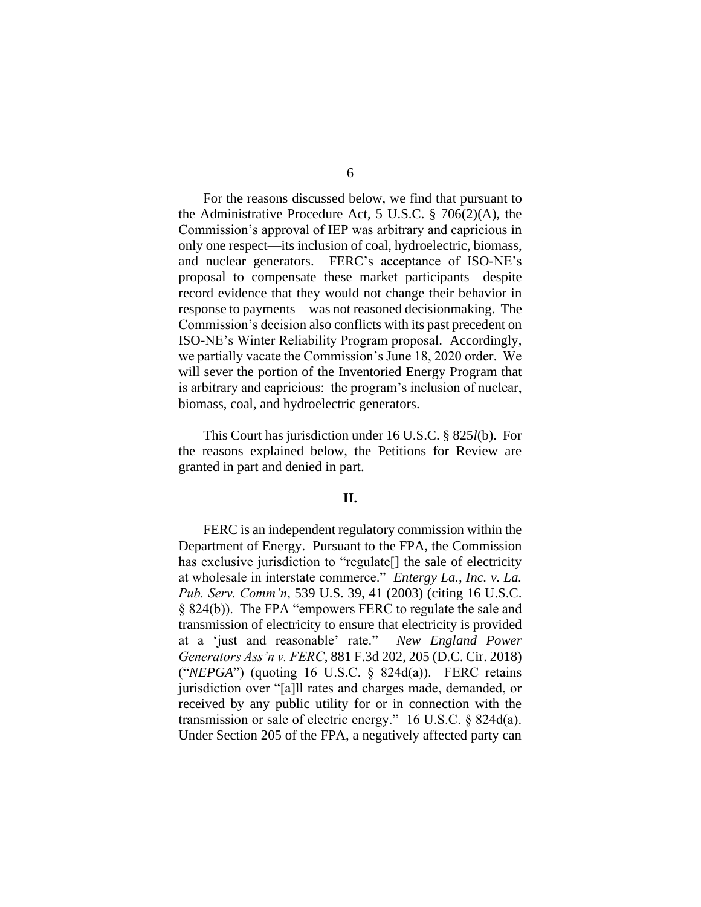For the reasons discussed below, we find that pursuant to the Administrative Procedure Act, 5 U.S.C. § 706(2)(A), the Commission's approval of IEP was arbitrary and capricious in only one respect—its inclusion of coal, hydroelectric, biomass, and nuclear generators. FERC's acceptance of ISO-NE's proposal to compensate these market participants—despite record evidence that they would not change their behavior in response to payments—was not reasoned decisionmaking. The Commission's decision also conflicts with its past precedent on ISO-NE's Winter Reliability Program proposal. Accordingly, we partially vacate the Commission's June 18, 2020 order. We will sever the portion of the Inventoried Energy Program that is arbitrary and capricious: the program's inclusion of nuclear, biomass, coal, and hydroelectric generators.

This Court has jurisdiction under 16 U.S.C. § 825*l*(b). For the reasons explained below, the Petitions for Review are granted in part and denied in part.

# **II.**

FERC is an independent regulatory commission within the Department of Energy. Pursuant to the FPA, the Commission has exclusive jurisdiction to "regulate<sup>[]</sup> the sale of electricity at wholesale in interstate commerce." *Entergy La., Inc. v. La. Pub. Serv. Comm'n*, 539 U.S. 39, 41 (2003) (citing 16 U.S.C. § 824(b)). The FPA "empowers FERC to regulate the sale and transmission of electricity to ensure that electricity is provided at a 'just and reasonable' rate." *New England Power Generators Ass'n v. FERC*, 881 F.3d 202, 205 (D.C. Cir. 2018) ("*NEPGA*") (quoting 16 U.S.C. § 824d(a)). FERC retains jurisdiction over "[a]ll rates and charges made, demanded, or received by any public utility for or in connection with the transmission or sale of electric energy." 16 U.S.C. § 824d(a). Under Section 205 of the FPA, a negatively affected party can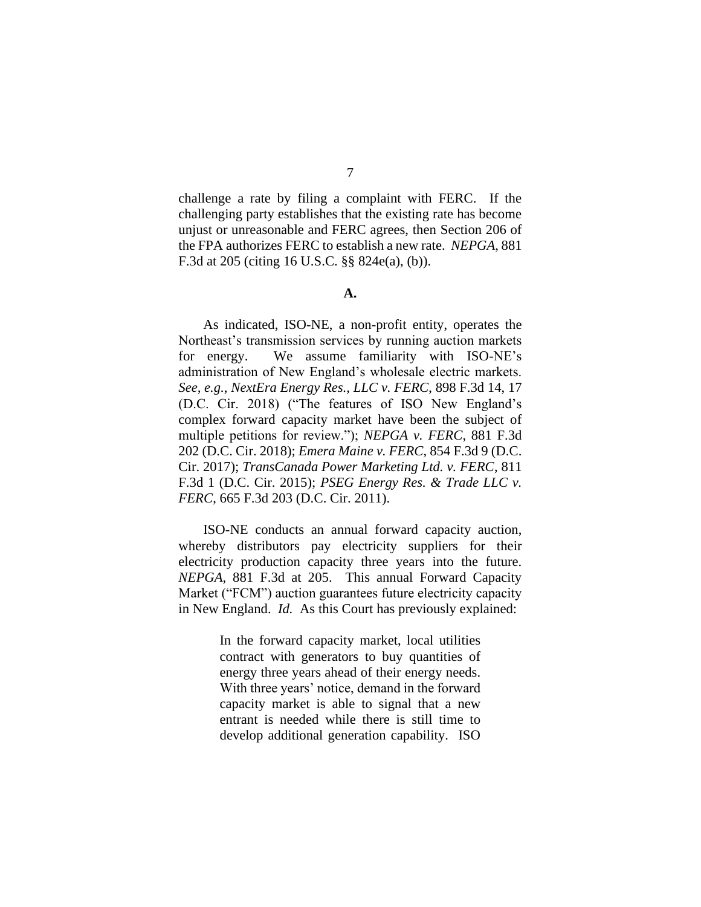challenge a rate by filing a complaint with FERC. If the challenging party establishes that the existing rate has become unjust or unreasonable and FERC agrees, then Section 206 of the FPA authorizes FERC to establish a new rate. *NEPGA*, 881 F.3d at 205 (citing 16 U.S.C. §§ 824e(a), (b)).

### **A.**

As indicated, ISO-NE, a non-profit entity, operates the Northeast's transmission services by running auction markets for energy. We assume familiarity with ISO-NE's administration of New England's wholesale electric markets. *See, e.g.*, *NextEra Energy Res., LLC v. FERC*, 898 F.3d 14, 17 (D.C. Cir. 2018) ("The features of ISO New England's complex forward capacity market have been the subject of multiple petitions for review."); *NEPGA v. FERC*, 881 F.3d 202 (D.C. Cir. 2018); *Emera Maine v. FERC*, 854 F.3d 9 (D.C. Cir. 2017); *TransCanada Power Marketing Ltd. v. FERC*, 811 F.3d 1 (D.C. Cir. 2015); *PSEG Energy Res. & Trade LLC v. FERC*, 665 F.3d 203 (D.C. Cir. 2011).

ISO-NE conducts an annual forward capacity auction, whereby distributors pay electricity suppliers for their electricity production capacity three years into the future. *NEPGA*, 881 F.3d at 205. This annual Forward Capacity Market ("FCM") auction guarantees future electricity capacity in New England. *Id.* As this Court has previously explained:

> In the forward capacity market, local utilities contract with generators to buy quantities of energy three years ahead of their energy needs. With three years' notice, demand in the forward capacity market is able to signal that a new entrant is needed while there is still time to develop additional generation capability. ISO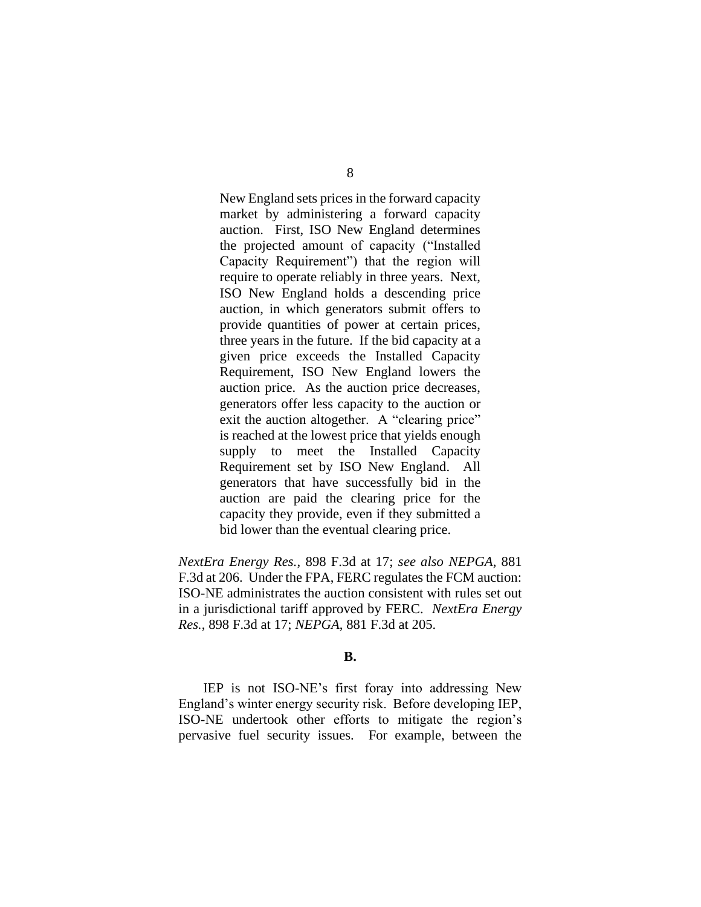New England sets prices in the forward capacity market by administering a forward capacity auction. First, ISO New England determines the projected amount of capacity ("Installed Capacity Requirement") that the region will require to operate reliably in three years. Next, ISO New England holds a descending price auction, in which generators submit offers to provide quantities of power at certain prices, three years in the future. If the bid capacity at a given price exceeds the Installed Capacity Requirement, ISO New England lowers the auction price. As the auction price decreases, generators offer less capacity to the auction or exit the auction altogether. A "clearing price" is reached at the lowest price that yields enough supply to meet the Installed Capacity Requirement set by ISO New England. All generators that have successfully bid in the auction are paid the clearing price for the capacity they provide, even if they submitted a bid lower than the eventual clearing price.

*NextEra Energy Res.*, 898 F.3d at 17; *see also NEPGA*, 881 F.3d at 206. Under the FPA, FERC regulates the FCM auction: ISO-NE administrates the auction consistent with rules set out in a jurisdictional tariff approved by FERC. *NextEra Energy Res.*, 898 F.3d at 17; *NEPGA*, 881 F.3d at 205.

# **B.**

IEP is not ISO-NE's first foray into addressing New England's winter energy security risk. Before developing IEP, ISO-NE undertook other efforts to mitigate the region's pervasive fuel security issues. For example, between the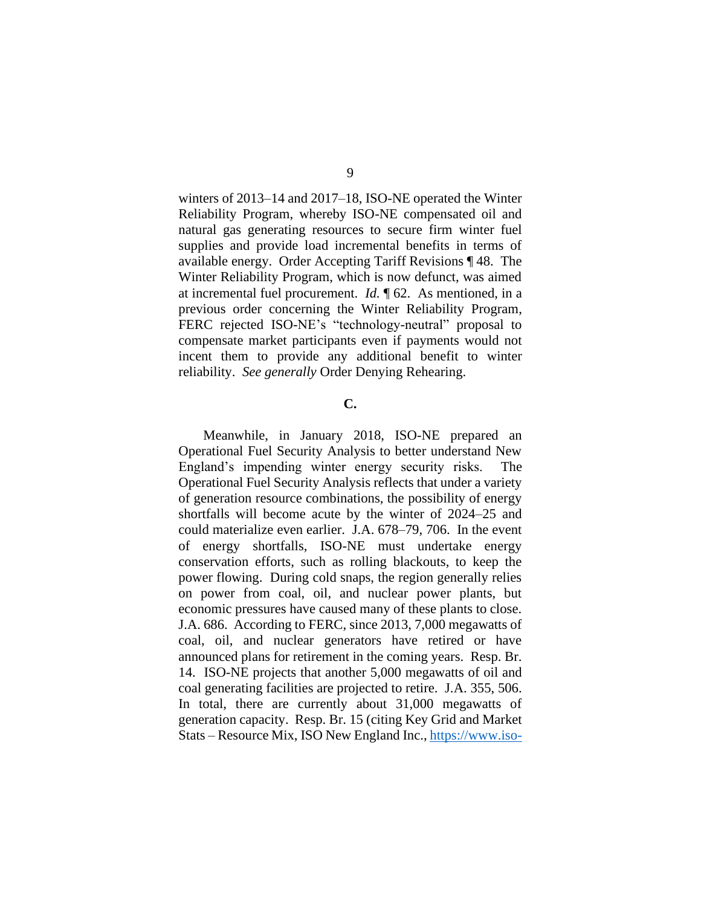winters of 2013–14 and 2017–18, ISO-NE operated the Winter Reliability Program, whereby ISO-NE compensated oil and natural gas generating resources to secure firm winter fuel supplies and provide load incremental benefits in terms of available energy. Order Accepting Tariff Revisions ¶ 48. The Winter Reliability Program, which is now defunct, was aimed at incremental fuel procurement. *Id.* ¶ 62. As mentioned, in a previous order concerning the Winter Reliability Program, FERC rejected ISO-NE's "technology-neutral" proposal to compensate market participants even if payments would not incent them to provide any additional benefit to winter reliability. *See generally* Order Denying Rehearing.

# **C.**

Meanwhile, in January 2018, ISO-NE prepared an Operational Fuel Security Analysis to better understand New England's impending winter energy security risks. The Operational Fuel Security Analysis reflects that under a variety of generation resource combinations, the possibility of energy shortfalls will become acute by the winter of 2024–25 and could materialize even earlier. J.A. 678–79, 706.In the event of energy shortfalls, ISO-NE must undertake energy conservation efforts, such as rolling blackouts, to keep the power flowing. During cold snaps, the region generally relies on power from coal, oil, and nuclear power plants, but economic pressures have caused many of these plants to close. J.A. 686. According to FERC, since 2013, 7,000 megawatts of coal, oil, and nuclear generators have retired or have announced plans for retirement in the coming years. Resp. Br. 14. ISO-NE projects that another 5,000 megawatts of oil and coal generating facilities are projected to retire. J.A. 355, 506. In total, there are currently about 31,000 megawatts of generation capacity. Resp. Br. 15 (citing Key Grid and Market Stats – Resource Mix, ISO New England Inc.[, https://www.iso-](https://www.iso-ne.com/about/key-stats/resource-mix)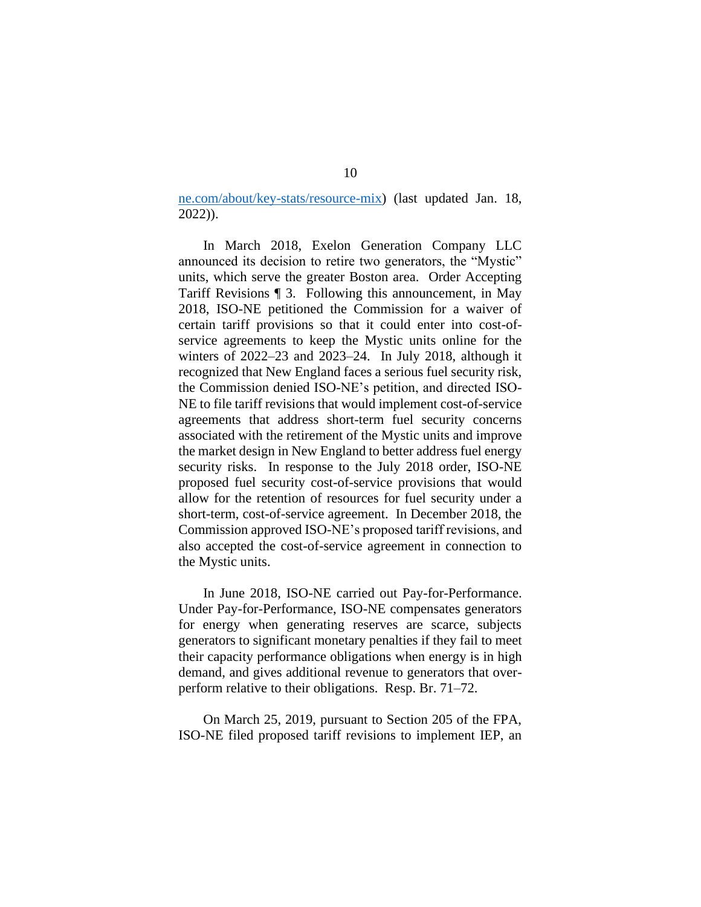[ne.com/about/key-stats/resource-mix\)](https://www.iso-ne.com/about/key-stats/resource-mix) (last updated Jan. 18, 2022)).

In March 2018, Exelon Generation Company LLC announced its decision to retire two generators, the "Mystic" units, which serve the greater Boston area. Order Accepting Tariff Revisions ¶ 3. Following this announcement, in May 2018, ISO-NE petitioned the Commission for a waiver of certain tariff provisions so that it could enter into cost-ofservice agreements to keep the Mystic units online for the winters of 2022–23 and 2023–24. In July 2018, although it recognized that New England faces a serious fuel security risk, the Commission denied ISO-NE's petition, and directed ISO-NE to file tariff revisions that would implement cost-of-service agreements that address short-term fuel security concerns associated with the retirement of the Mystic units and improve the market design in New England to better address fuel energy security risks. In response to the July 2018 order, ISO-NE proposed fuel security cost-of-service provisions that would allow for the retention of resources for fuel security under a short-term, cost-of-service agreement. In December 2018, the Commission approved ISO-NE's proposed tariff revisions, and also accepted the cost-of-service agreement in connection to the Mystic units.

In June 2018, ISO-NE carried out Pay-for-Performance. Under Pay-for-Performance, ISO-NE compensates generators for energy when generating reserves are scarce, subjects generators to significant monetary penalties if they fail to meet their capacity performance obligations when energy is in high demand, and gives additional revenue to generators that overperform relative to their obligations. Resp. Br. 71–72.

On March 25, 2019, pursuant to Section 205 of the FPA, ISO-NE filed proposed tariff revisions to implement IEP, an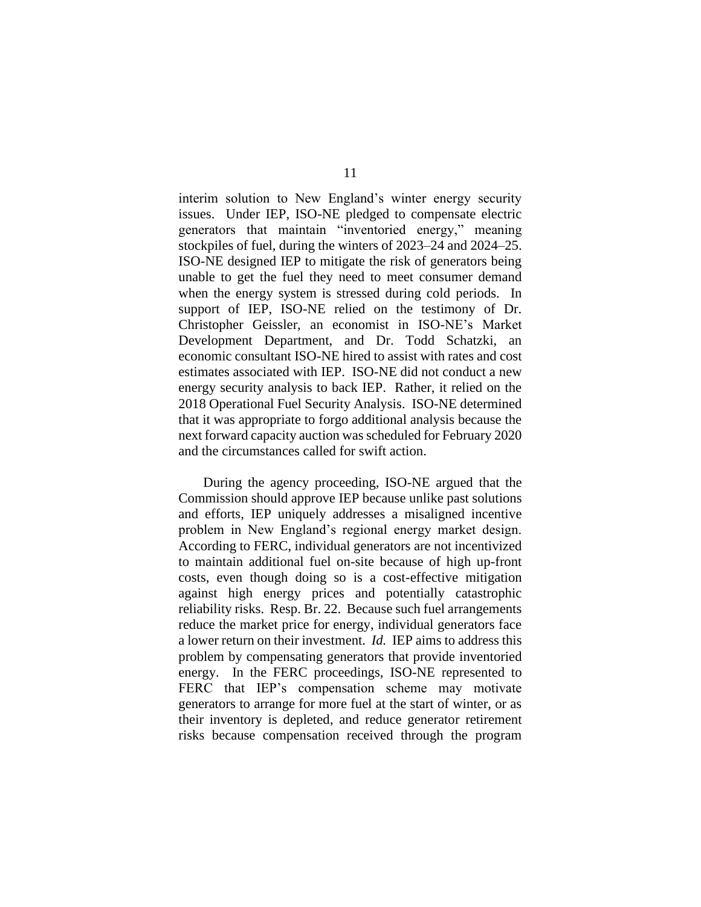interim solution to New England's winter energy security issues. Under IEP, ISO-NE pledged to compensate electric generators that maintain "inventoried energy," meaning stockpiles of fuel, during the winters of 2023–24 and 2024–25. ISO-NE designed IEP to mitigate the risk of generators being unable to get the fuel they need to meet consumer demand when the energy system is stressed during cold periods. In support of IEP, ISO-NE relied on the testimony of Dr. Christopher Geissler, an economist in ISO-NE's Market Development Department, and Dr. Todd Schatzki, an economic consultant ISO-NE hired to assist with rates and cost estimates associated with IEP. ISO-NE did not conduct a new energy security analysis to back IEP. Rather, it relied on the 2018 Operational Fuel Security Analysis. ISO-NE determined that it was appropriate to forgo additional analysis because the next forward capacity auction was scheduled for February 2020 and the circumstances called for swift action.

During the agency proceeding, ISO-NE argued that the Commission should approve IEP because unlike past solutions and efforts, IEP uniquely addresses a misaligned incentive problem in New England's regional energy market design. According to FERC, individual generators are not incentivized to maintain additional fuel on-site because of high up-front costs, even though doing so is a cost-effective mitigation against high energy prices and potentially catastrophic reliability risks. Resp. Br. 22. Because such fuel arrangements reduce the market price for energy, individual generators face a lower return on their investment. *Id.* IEP aims to address this problem by compensating generators that provide inventoried energy. In the FERC proceedings, ISO-NE represented to FERC that IEP's compensation scheme may motivate generators to arrange for more fuel at the start of winter, or as their inventory is depleted, and reduce generator retirement risks because compensation received through the program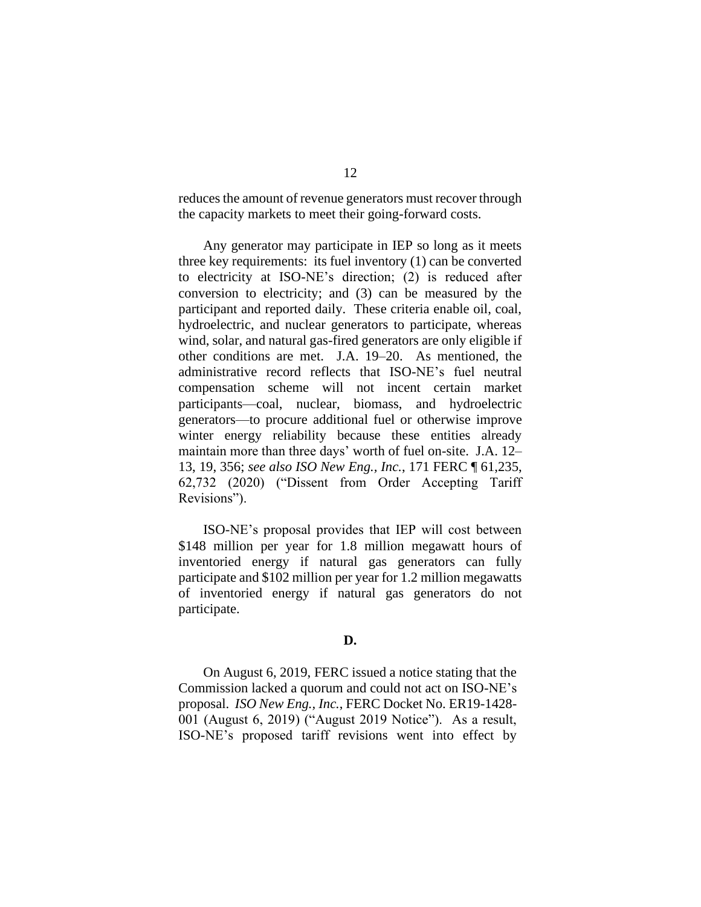reduces the amount of revenue generators must recover through the capacity markets to meet their going-forward costs.

Any generator may participate in IEP so long as it meets three key requirements: its fuel inventory (1) can be converted to electricity at ISO-NE's direction; (2) is reduced after conversion to electricity; and (3) can be measured by the participant and reported daily. These criteria enable oil, coal, hydroelectric, and nuclear generators to participate, whereas wind, solar, and natural gas-fired generators are only eligible if other conditions are met. J.A. 19–20. As mentioned, the administrative record reflects that ISO-NE's fuel neutral compensation scheme will not incent certain market participants—coal, nuclear, biomass, and hydroelectric generators—to procure additional fuel or otherwise improve winter energy reliability because these entities already maintain more than three days' worth of fuel on-site. J.A. 12– 13, 19, 356; *see also ISO New Eng., Inc.*, 171 FERC ¶ 61,235, 62,732 (2020) ("Dissent from Order Accepting Tariff Revisions").

ISO-NE's proposal provides that IEP will cost between \$148 million per year for 1.8 million megawatt hours of inventoried energy if natural gas generators can fully participate and \$102 million per year for 1.2 million megawatts of inventoried energy if natural gas generators do not participate.

# **D.**

On August 6, 2019, FERC issued a notice stating that the Commission lacked a quorum and could not act on ISO-NE's proposal. *ISO New Eng., Inc.*, FERC Docket No. ER19-1428- 001 (August 6, 2019) ("August 2019 Notice"). As a result, ISO-NE's proposed tariff revisions went into effect by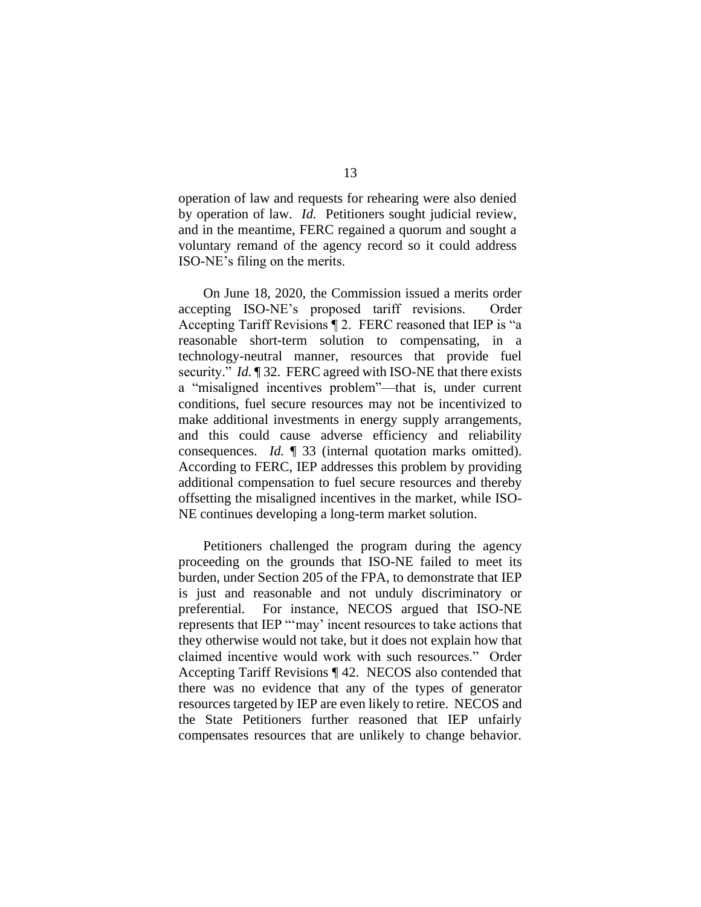operation of law and requests for rehearing were also denied by operation of law. *Id.* Petitioners sought judicial review, and in the meantime, FERC regained a quorum and sought a voluntary remand of the agency record so it could address ISO-NE's filing on the merits.

On June 18, 2020, the Commission issued a merits order accepting ISO-NE's proposed tariff revisions. Order Accepting Tariff Revisions ¶ 2. FERC reasoned that IEP is "a reasonable short-term solution to compensating, in a technology-neutral manner, resources that provide fuel security." *Id.* 132. FERC agreed with ISO-NE that there exists a "misaligned incentives problem"—that is, under current conditions, fuel secure resources may not be incentivized to make additional investments in energy supply arrangements, and this could cause adverse efficiency and reliability consequences. *Id.* ¶ 33 (internal quotation marks omitted). According to FERC, IEP addresses this problem by providing additional compensation to fuel secure resources and thereby offsetting the misaligned incentives in the market, while ISO-NE continues developing a long-term market solution.

Petitioners challenged the program during the agency proceeding on the grounds that ISO-NE failed to meet its burden, under Section 205 of the FPA, to demonstrate that IEP is just and reasonable and not unduly discriminatory or preferential. For instance, NECOS argued that ISO-NE represents that IEP "'may' incent resources to take actions that they otherwise would not take, but it does not explain how that claimed incentive would work with such resources." Order Accepting Tariff Revisions ¶ 42. NECOS also contended that there was no evidence that any of the types of generator resources targeted by IEP are even likely to retire. NECOS and the State Petitioners further reasoned that IEP unfairly compensates resources that are unlikely to change behavior.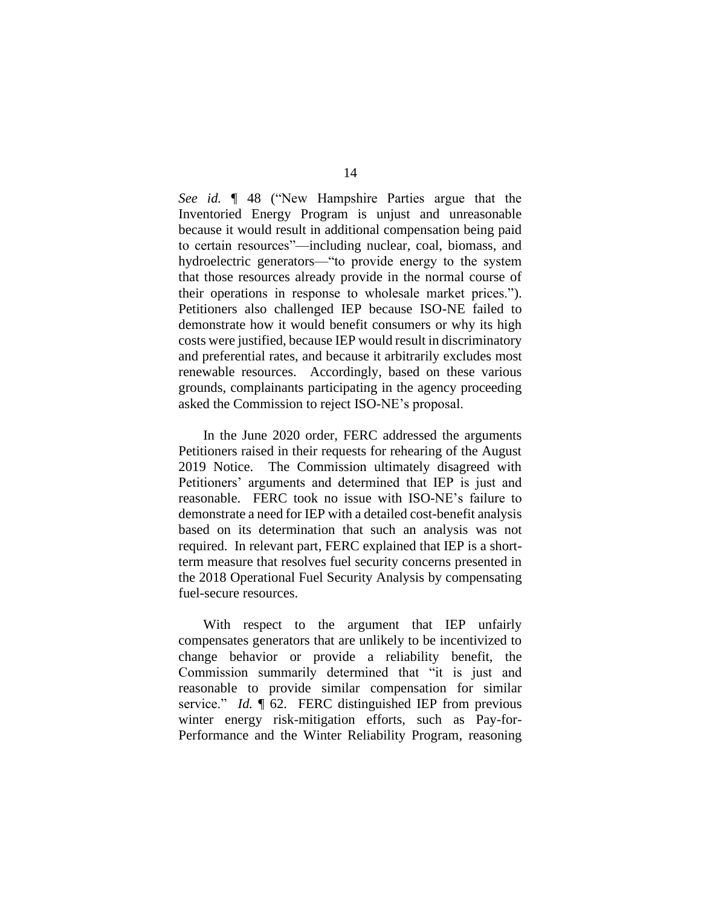*See id.* ¶ 48 ("New Hampshire Parties argue that the Inventoried Energy Program is unjust and unreasonable because it would result in additional compensation being paid to certain resources"—including nuclear, coal, biomass, and hydroelectric generators—"to provide energy to the system that those resources already provide in the normal course of their operations in response to wholesale market prices."). Petitioners also challenged IEP because ISO-NE failed to demonstrate how it would benefit consumers or why its high costs were justified, because IEP would result in discriminatory and preferential rates, and because it arbitrarily excludes most renewable resources. Accordingly, based on these various grounds, complainants participating in the agency proceeding asked the Commission to reject ISO-NE's proposal.

In the June 2020 order, FERC addressed the arguments Petitioners raised in their requests for rehearing of the August 2019 Notice. The Commission ultimately disagreed with Petitioners' arguments and determined that IEP is just and reasonable. FERC took no issue with ISO-NE's failure to demonstrate a need for IEP with a detailed cost-benefit analysis based on its determination that such an analysis was not required. In relevant part, FERC explained that IEP is a shortterm measure that resolves fuel security concerns presented in the 2018 Operational Fuel Security Analysis by compensating fuel-secure resources.

With respect to the argument that IEP unfairly compensates generators that are unlikely to be incentivized to change behavior or provide a reliability benefit, the Commission summarily determined that "it is just and reasonable to provide similar compensation for similar service." *Id.* ¶ 62. FERC distinguished IEP from previous winter energy risk-mitigation efforts, such as Pay-for-Performance and the Winter Reliability Program, reasoning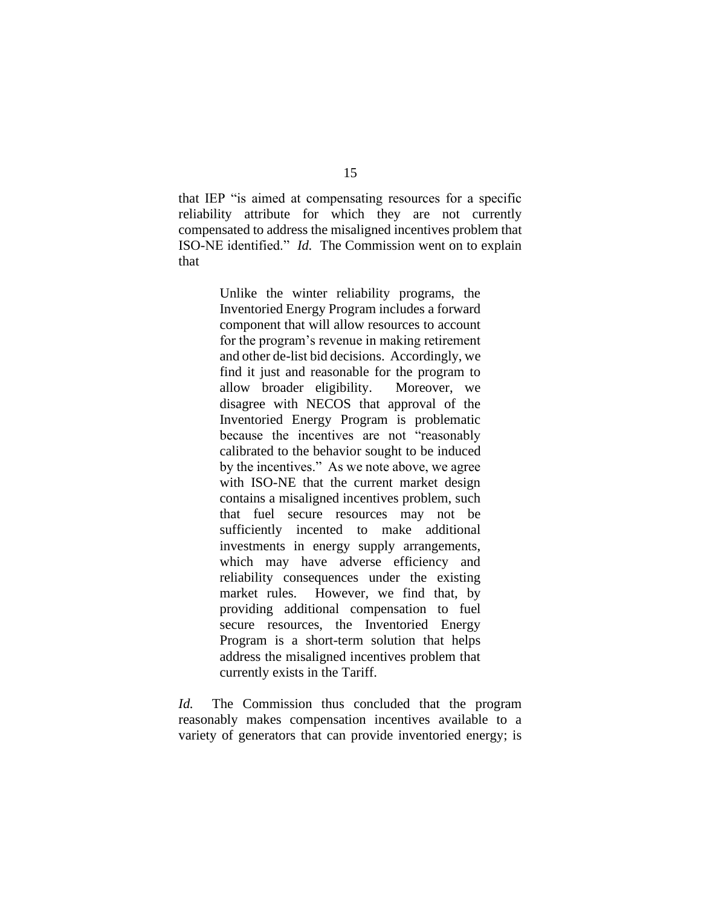that IEP "is aimed at compensating resources for a specific reliability attribute for which they are not currently compensated to address the misaligned incentives problem that ISO-NE identified." *Id.*The Commission went on to explain that

> Unlike the winter reliability programs, the Inventoried Energy Program includes a forward component that will allow resources to account for the program's revenue in making retirement and other de-list bid decisions. Accordingly, we find it just and reasonable for the program to allow broader eligibility. Moreover, we disagree with NECOS that approval of the Inventoried Energy Program is problematic because the incentives are not "reasonably calibrated to the behavior sought to be induced by the incentives." As we note above, we agree with ISO-NE that the current market design contains a misaligned incentives problem, such that fuel secure resources may not be sufficiently incented to make additional investments in energy supply arrangements, which may have adverse efficiency and reliability consequences under the existing market rules. However, we find that, by providing additional compensation to fuel secure resources, the Inventoried Energy Program is a short-term solution that helps address the misaligned incentives problem that currently exists in the Tariff.

*Id.* The Commission thus concluded that the program reasonably makes compensation incentives available to a variety of generators that can provide inventoried energy; is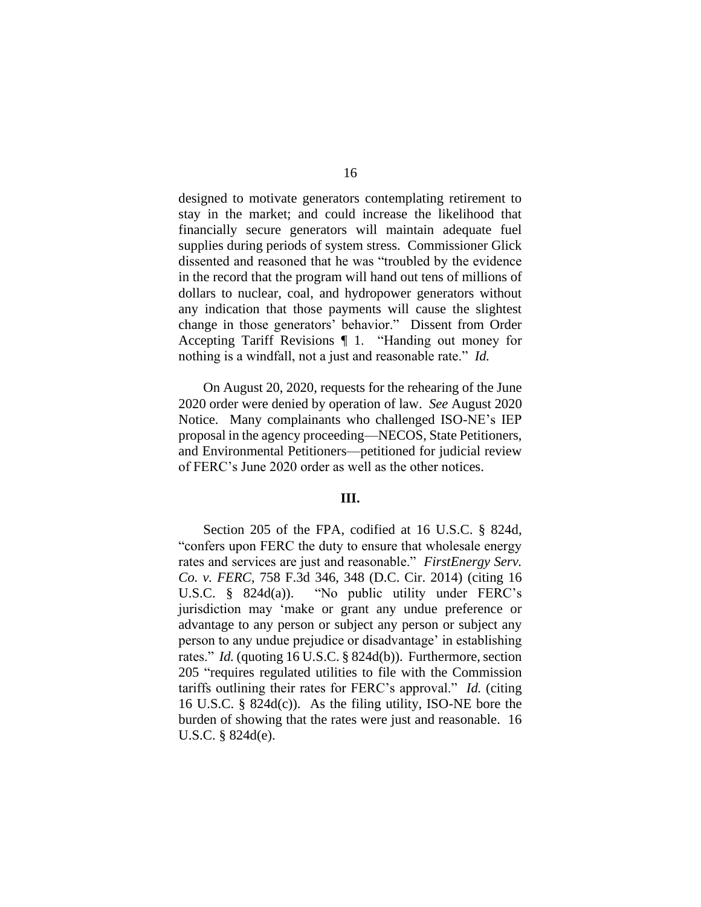designed to motivate generators contemplating retirement to stay in the market; and could increase the likelihood that financially secure generators will maintain adequate fuel supplies during periods of system stress. Commissioner Glick dissented and reasoned that he was "troubled by the evidence in the record that the program will hand out tens of millions of dollars to nuclear, coal, and hydropower generators without any indication that those payments will cause the slightest change in those generators' behavior." Dissent from Order Accepting Tariff Revisions ¶ 1. "Handing out money for nothing is a windfall, not a just and reasonable rate." *Id.*

On August 20, 2020, requests for the rehearing of the June 2020 order were denied by operation of law. *See* August 2020 Notice. Many complainants who challenged ISO-NE's IEP proposal in the agency proceeding—NECOS, State Petitioners, and Environmental Petitioners—petitioned for judicial review of FERC's June 2020 order as well as the other notices.

# **III.**

Section 205 of the FPA, codified at 16 U.S.C. § 824d, "confers upon FERC the duty to ensure that wholesale energy rates and services are just and reasonable." *FirstEnergy Serv. Co. v. FERC*, 758 F.3d 346, 348 (D.C. Cir. 2014) (citing 16 U.S.C. § 824d(a)). "No public utility under FERC's jurisdiction may 'make or grant any undue preference or advantage to any person or subject any person or subject any person to any undue prejudice or disadvantage' in establishing rates." *Id.* (quoting 16 U.S.C. § 824d(b)). Furthermore, section 205 "requires regulated utilities to file with the Commission tariffs outlining their rates for FERC's approval." *Id.* (citing 16 U.S.C. § 824d(c)). As the filing utility, ISO-NE bore the burden of showing that the rates were just and reasonable. 16 U.S.C. § 824d(e).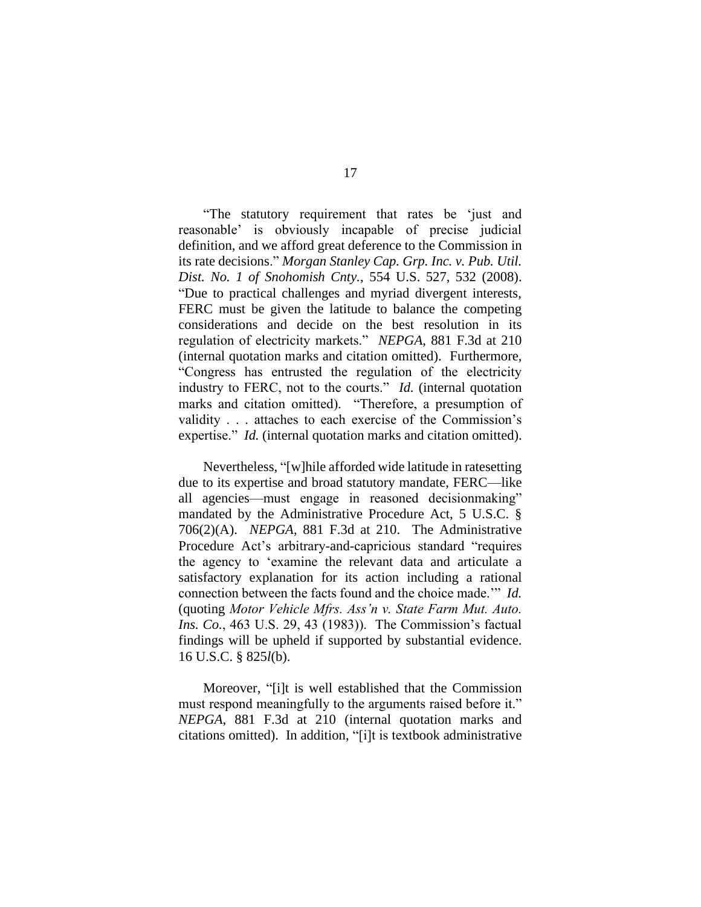"The statutory requirement that rates be 'just and reasonable' is obviously incapable of precise judicial definition, and we afford great deference to the Commission in its rate decisions." *Morgan Stanley Cap. Grp. Inc. v. Pub. Util. Dist. No. 1 of Snohomish Cnty.*, 554 U.S. 527, 532 (2008). "Due to practical challenges and myriad divergent interests, FERC must be given the latitude to balance the competing considerations and decide on the best resolution in its regulation of electricity markets." *NEPGA*, 881 F.3d at 210 (internal quotation marks and citation omitted). Furthermore, "Congress has entrusted the regulation of the electricity industry to FERC, not to the courts." *Id.* (internal quotation marks and citation omitted). "Therefore, a presumption of validity . . . attaches to each exercise of the Commission's expertise." *Id.* (internal quotation marks and citation omitted).

Nevertheless, "[w]hile afforded wide latitude in ratesetting due to its expertise and broad statutory mandate, FERC—like all agencies—must engage in reasoned decisionmaking" mandated by the Administrative Procedure Act, 5 U.S.C. § 706(2)(A). *NEPGA*, 881 F.3d at 210. The Administrative Procedure Act's arbitrary-and-capricious standard "requires the agency to 'examine the relevant data and articulate a satisfactory explanation for its action including a rational connection between the facts found and the choice made.'" *Id.* (quoting *Motor Vehicle Mfrs. Ass'n v. State Farm Mut. Auto. Ins. Co.*, 463 U.S. 29, 43 (1983)). The Commission's factual findings will be upheld if supported by substantial evidence. 16 U.S.C. § 825*l*(b).

Moreover, "[i]t is well established that the Commission must respond meaningfully to the arguments raised before it." *NEPGA*, 881 F.3d at 210 (internal quotation marks and citations omitted). In addition, "[i]t is textbook administrative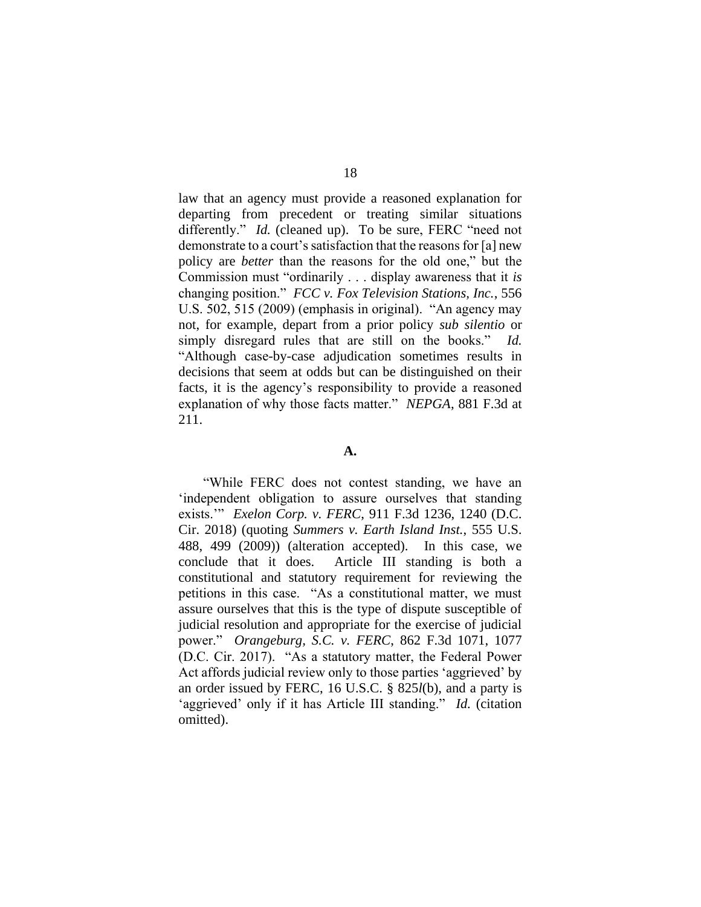law that an agency must provide a reasoned explanation for departing from precedent or treating similar situations differently." *Id.* (cleaned up). To be sure, FERC "need not demonstrate to a court's satisfaction that the reasons for [a] new policy are *better* than the reasons for the old one," but the Commission must "ordinarily . . . display awareness that it *is* changing position." *FCC v. Fox Television Stations, Inc.*, 556 U.S. 502, 515 (2009) (emphasis in original). "An agency may not, for example, depart from a prior policy *sub silentio* or simply disregard rules that are still on the books." *Id.*  "Although case-by-case adjudication sometimes results in decisions that seem at odds but can be distinguished on their facts, it is the agency's responsibility to provide a reasoned explanation of why those facts matter." *NEPGA*, 881 F.3d at 211.

### **A.**

"While FERC does not contest standing, we have an 'independent obligation to assure ourselves that standing exists.'" *Exelon Corp. v. FERC*, 911 F.3d 1236, 1240 (D.C. Cir. 2018) (quoting *Summers v. Earth Island Inst.*, 555 U.S. 488, 499 (2009)) (alteration accepted). In this case, we conclude that it does. Article III standing is both a constitutional and statutory requirement for reviewing the petitions in this case. "As a constitutional matter, we must assure ourselves that this is the type of dispute susceptible of judicial resolution and appropriate for the exercise of judicial power." *Orangeburg, S.C. v. FERC*, 862 F.3d 1071, 1077 (D.C. Cir. 2017). "As a statutory matter, the Federal Power Act affords judicial review only to those parties 'aggrieved' by an order issued by FERC, 16 U.S.C. § 825*l*(b), and a party is 'aggrieved' only if it has Article III standing." *Id.* (citation omitted).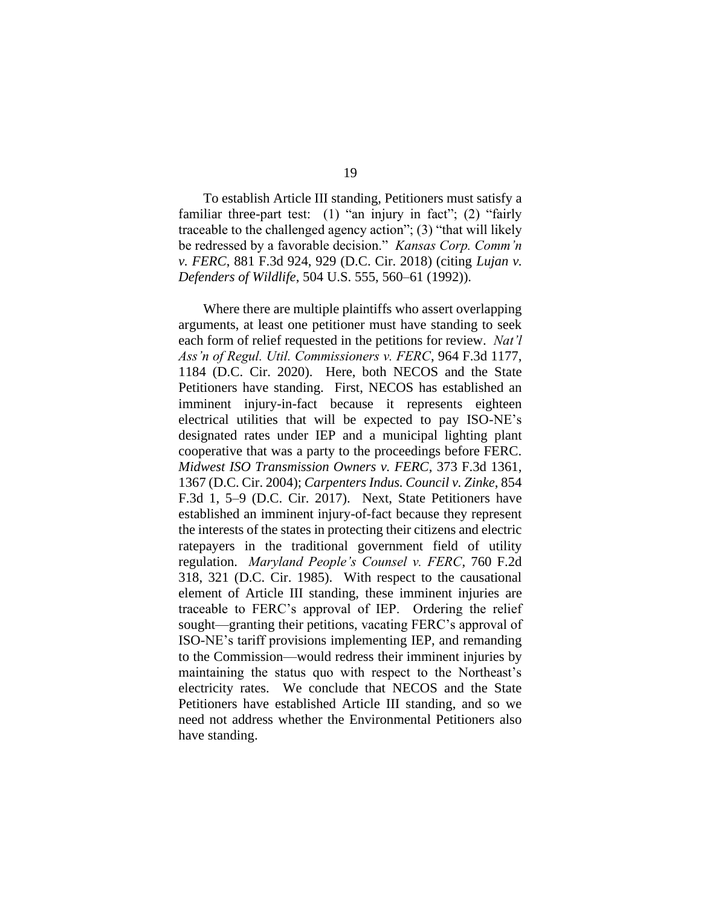To establish Article III standing, Petitioners must satisfy a familiar three-part test: (1) "an injury in fact"; (2) "fairly traceable to the challenged agency action"; (3) "that will likely be redressed by a favorable decision." *Kansas Corp. Comm'n v. FERC*, 881 F.3d 924, 929 (D.C. Cir. 2018) (citing *Lujan v. Defenders of Wildlife*, 504 U.S. 555, 560–61 (1992)).

Where there are multiple plaintiffs who assert overlapping arguments, at least one petitioner must have standing to seek each form of relief requested in the petitions for review. *Nat'l Ass'n of Regul. Util. Commissioners v. FERC*, 964 F.3d 1177, 1184 (D.C. Cir. 2020). Here, both NECOS and the State Petitioners have standing. First, NECOS has established an imminent injury-in-fact because it represents eighteen electrical utilities that will be expected to pay ISO-NE's designated rates under IEP and a municipal lighting plant cooperative that was a party to the proceedings before FERC. *Midwest ISO Transmission Owners v. FERC*, 373 F.3d 1361, 1367 (D.C. Cir. 2004); *Carpenters Indus. Council v. Zinke*, 854 F.3d 1, 5–9 (D.C. Cir. 2017). Next, State Petitioners have established an imminent injury-of-fact because they represent the interests of the states in protecting their citizens and electric ratepayers in the traditional government field of utility regulation. *Maryland People's Counsel v. FERC*, 760 F.2d 318, 321 (D.C. Cir. 1985). With respect to the causational element of Article III standing, these imminent injuries are traceable to FERC's approval of IEP. Ordering the relief sought—granting their petitions, vacating FERC's approval of ISO-NE's tariff provisions implementing IEP, and remanding to the Commission—would redress their imminent injuries by maintaining the status quo with respect to the Northeast's electricity rates. We conclude that NECOS and the State Petitioners have established Article III standing, and so we need not address whether the Environmental Petitioners also have standing.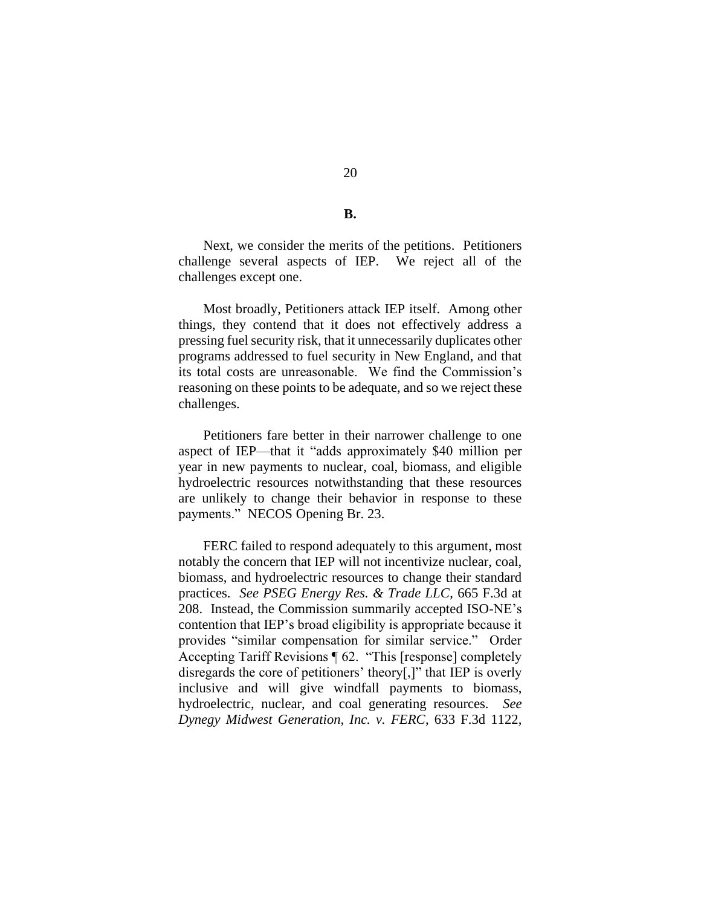**B.**

20

Next, we consider the merits of the petitions. Petitioners challenge several aspects of IEP. We reject all of the challenges except one.

Most broadly, Petitioners attack IEP itself. Among other things, they contend that it does not effectively address a pressing fuel security risk, that it unnecessarily duplicates other programs addressed to fuel security in New England, and that its total costs are unreasonable. We find the Commission's reasoning on these points to be adequate, and so we reject these challenges.

Petitioners fare better in their narrower challenge to one aspect of IEP—that it "adds approximately \$40 million per year in new payments to nuclear, coal, biomass, and eligible hydroelectric resources notwithstanding that these resources are unlikely to change their behavior in response to these payments."NECOS Opening Br. 23.

FERC failed to respond adequately to this argument, most notably the concern that IEP will not incentivize nuclear, coal, biomass, and hydroelectric resources to change their standard practices. *See PSEG Energy Res. & Trade LLC*, 665 F.3d at 208. Instead, the Commission summarily accepted ISO-NE's contention that IEP's broad eligibility is appropriate because it provides "similar compensation for similar service." Order Accepting Tariff Revisions ¶ 62. "This [response] completely disregards the core of petitioners' theory[,]" that IEP is overly inclusive and will give windfall payments to biomass, hydroelectric, nuclear, and coal generating resources. *See Dynegy Midwest Generation, Inc. v. FERC*, 633 F.3d 1122,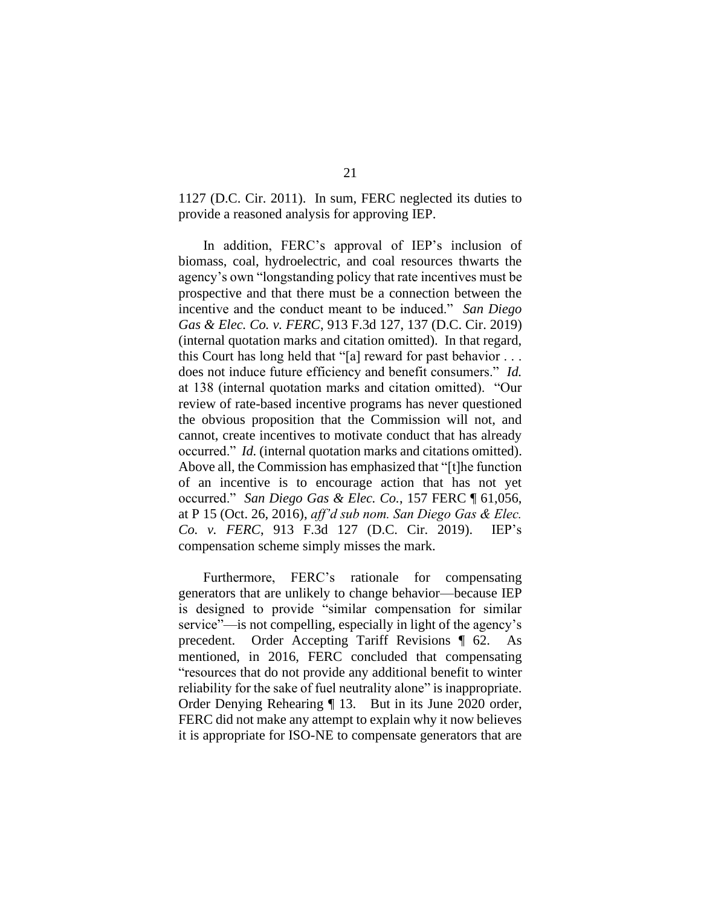1127 (D.C. Cir. 2011). In sum, FERC neglected its duties to provide a reasoned analysis for approving IEP.

In addition, FERC's approval of IEP's inclusion of biomass, coal, hydroelectric, and coal resources thwarts the agency's own "longstanding policy that rate incentives must be prospective and that there must be a connection between the incentive and the conduct meant to be induced." *San Diego Gas & Elec. Co. v. FERC*, 913 F.3d 127, 137 (D.C. Cir. 2019) (internal quotation marks and citation omitted). In that regard, this Court has long held that "[a] reward for past behavior . . . does not induce future efficiency and benefit consumers." *Id.* at 138 (internal quotation marks and citation omitted). "Our review of rate-based incentive programs has never questioned the obvious proposition that the Commission will not, and cannot, create incentives to motivate conduct that has already occurred." *Id.* (internal quotation marks and citations omitted). Above all, the Commission has emphasized that "[t]he function of an incentive is to encourage action that has not yet occurred." *San Diego Gas & Elec. Co.*, 157 FERC ¶ 61,056, at P 15 (Oct. 26, 2016), *aff'd sub nom. San Diego Gas & Elec. Co. v. FERC*, 913 F.3d 127 (D.C. Cir. 2019). IEP's compensation scheme simply misses the mark.

Furthermore, FERC's rationale for compensating generators that are unlikely to change behavior—because IEP is designed to provide "similar compensation for similar service"—is not compelling, especially in light of the agency's precedent. Order Accepting Tariff Revisions ¶ 62. As mentioned, in 2016, FERC concluded that compensating "resources that do not provide any additional benefit to winter reliability for the sake of fuel neutrality alone" is inappropriate. Order Denying Rehearing ¶ 13. But in its June 2020 order, FERC did not make any attempt to explain why it now believes it is appropriate for ISO-NE to compensate generators that are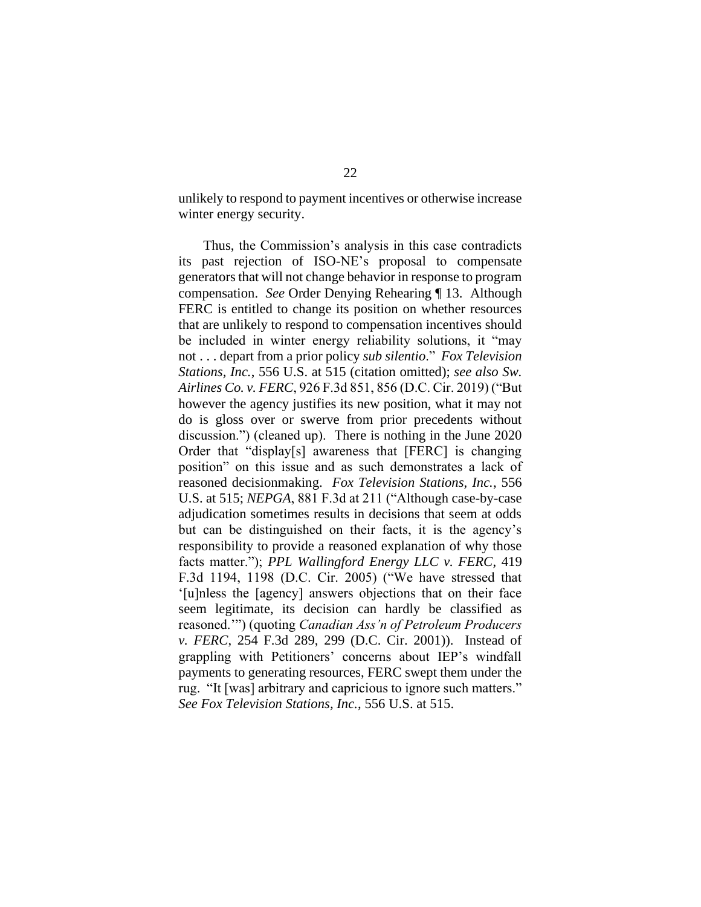unlikely to respond to payment incentives or otherwise increase winter energy security.

Thus, the Commission's analysis in this case contradicts its past rejection of ISO-NE's proposal to compensate generators that will not change behavior in response to program compensation. *See* Order Denying Rehearing ¶ 13. Although FERC is entitled to change its position on whether resources that are unlikely to respond to compensation incentives should be included in winter energy reliability solutions, it "may not . . . depart from a prior policy *sub silentio*." *Fox Television Stations, Inc.*, 556 U.S. at 515 (citation omitted); *see also Sw. Airlines Co. v. FERC*, 926 F.3d 851, 856 (D.C. Cir. 2019) ("But however the agency justifies its new position, what it may not do is gloss over or swerve from prior precedents without discussion.") (cleaned up). There is nothing in the June 2020 Order that "display[s] awareness that [FERC] is changing position" on this issue and as such demonstrates a lack of reasoned decisionmaking. *Fox Television Stations, Inc.*, 556 U.S. at 515; *NEPGA*, 881 F.3d at 211 ("Although case-by-case adjudication sometimes results in decisions that seem at odds but can be distinguished on their facts, it is the agency's responsibility to provide a reasoned explanation of why those facts matter."); *PPL Wallingford Energy LLC v. FERC*, 419 F.3d 1194, 1198 (D.C. Cir. 2005) ("We have stressed that '[u]nless the [agency] answers objections that on their face seem legitimate, its decision can hardly be classified as reasoned.'") (quoting *Canadian Ass'n of Petroleum Producers v. FERC*, 254 F.3d 289, 299 (D.C. Cir. 2001)). Instead of grappling with Petitioners' concerns about IEP's windfall payments to generating resources, FERC swept them under the rug. "It [was] arbitrary and capricious to ignore such matters." *See Fox Television Stations, Inc.*, 556 U.S. at 515.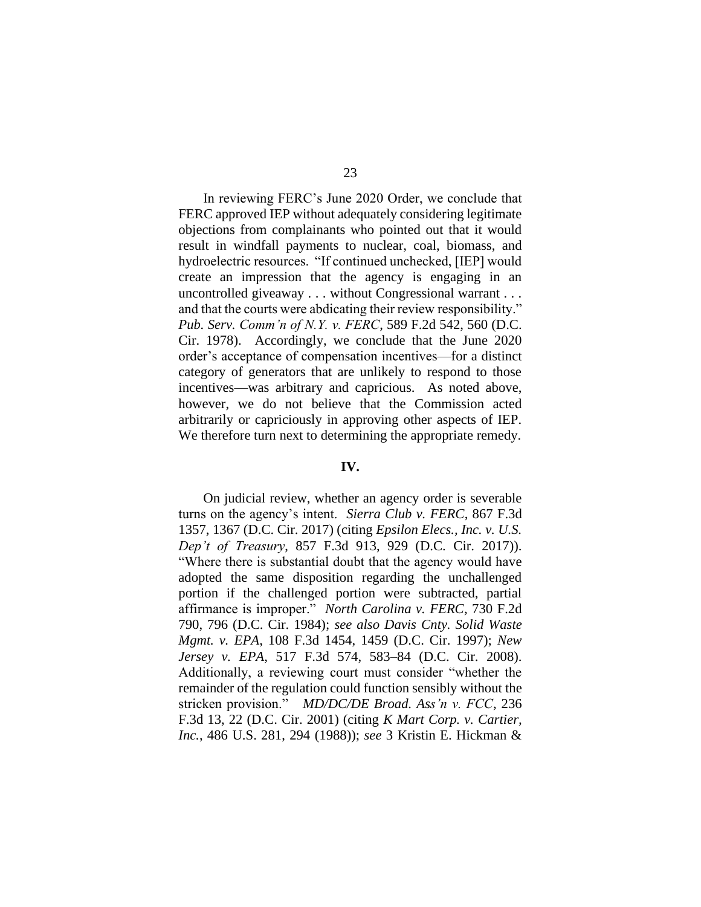In reviewing FERC's June 2020 Order, we conclude that FERC approved IEP without adequately considering legitimate objections from complainants who pointed out that it would result in windfall payments to nuclear, coal, biomass, and hydroelectric resources. "If continued unchecked, [IEP] would create an impression that the agency is engaging in an uncontrolled giveaway . . . without Congressional warrant . . .

and that the courts were abdicating their review responsibility." *Pub. Serv. Comm'n of N.Y. v. FERC*, 589 F.2d 542, 560 (D.C. Cir. 1978). Accordingly, we conclude that the June 2020 order's acceptance of compensation incentives—for a distinct category of generators that are unlikely to respond to those incentives—was arbitrary and capricious. As noted above, however, we do not believe that the Commission acted arbitrarily or capriciously in approving other aspects of IEP. We therefore turn next to determining the appropriate remedy.

## **IV.**

On judicial review, whether an agency order is severable turns on the agency's intent. *Sierra Club v. FERC*, 867 F.3d 1357, 1367 (D.C. Cir. 2017) (citing *Epsilon Elecs., Inc. v. U.S. Dep't of Treasury*, 857 F.3d 913, 929 (D.C. Cir. 2017)). "Where there is substantial doubt that the agency would have adopted the same disposition regarding the unchallenged portion if the challenged portion were subtracted, partial affirmance is improper." *North Carolina v. FERC*, 730 F.2d 790, 796 (D.C. Cir. 1984); *see also Davis Cnty. Solid Waste Mgmt. v. EPA*, 108 F.3d 1454, 1459 (D.C. Cir. 1997); *New Jersey v. EPA*, 517 F.3d 574, 583–84 (D.C. Cir. 2008). Additionally, a reviewing court must consider "whether the remainder of the regulation could function sensibly without the stricken provision." *MD/DC/DE Broad. Ass'n v. FCC*, 236 F.3d 13, 22 (D.C. Cir. 2001) (citing *K Mart Corp. v. Cartier, Inc.*, 486 U.S. 281, 294 (1988)); *see* 3 Kristin E. Hickman &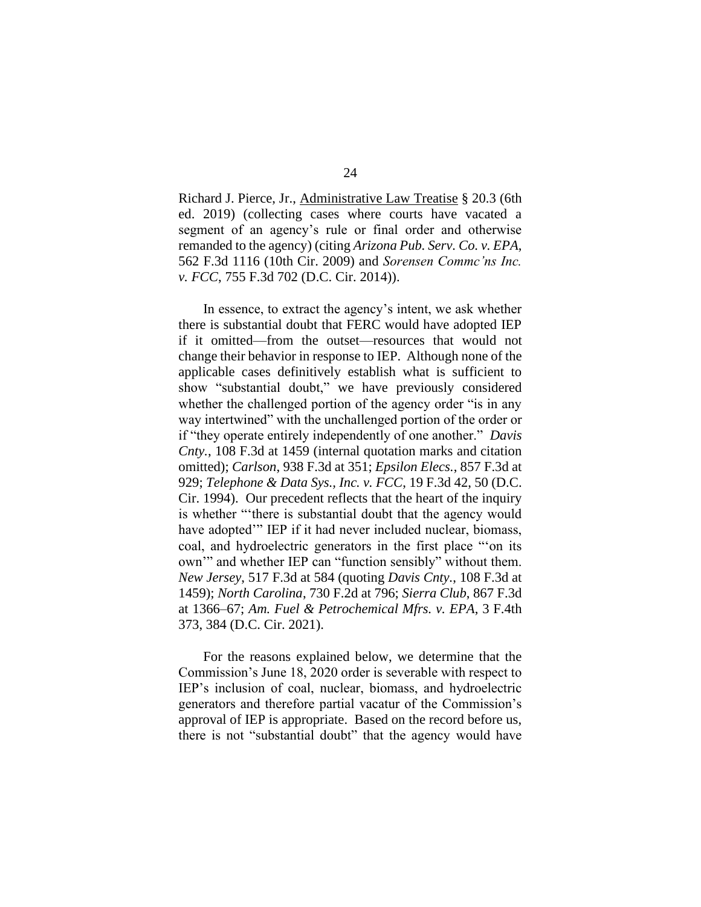Richard J. Pierce, Jr., Administrative Law Treatise § 20.3 (6th ed. 2019) (collecting cases where courts have vacated a segment of an agency's rule or final order and otherwise remanded to the agency) (citing *Arizona Pub. Serv. Co. v. EPA*, 562 F.3d 1116 (10th Cir. 2009) and *Sorensen Commc'ns Inc. v. FCC*, 755 F.3d 702 (D.C. Cir. 2014)).

In essence, to extract the agency's intent, we ask whether there is substantial doubt that FERC would have adopted IEP if it omitted—from the outset—resources that would not change their behavior in response to IEP. Although none of the applicable cases definitively establish what is sufficient to show "substantial doubt," we have previously considered whether the challenged portion of the agency order "is in any way intertwined" with the unchallenged portion of the order or if "they operate entirely independently of one another." *Davis Cnty.*, 108 F.3d at 1459 (internal quotation marks and citation omitted); *Carlson*, 938 F.3d at 351; *Epsilon Elecs.*, 857 F.3d at 929; *Telephone & Data Sys., Inc. v. FCC*, 19 F.3d 42, 50 (D.C. Cir. 1994). Our precedent reflects that the heart of the inquiry is whether "'there is substantial doubt that the agency would have adopted'" IEP if it had never included nuclear, biomass, coal, and hydroelectric generators in the first place "'on its own'" and whether IEP can "function sensibly" without them. *New Jersey*, 517 F.3d at 584 (quoting *Davis Cnty.*, 108 F.3d at 1459); *North Carolina*, 730 F.2d at 796; *Sierra Club*, 867 F.3d at 1366–67; *Am. Fuel & Petrochemical Mfrs. v. EPA*, 3 F.4th 373, 384 (D.C. Cir. 2021).

For the reasons explained below, we determine that the Commission's June 18, 2020 order is severable with respect to IEP's inclusion of coal, nuclear, biomass, and hydroelectric generators and therefore partial vacatur of the Commission's approval of IEP is appropriate. Based on the record before us, there is not "substantial doubt" that the agency would have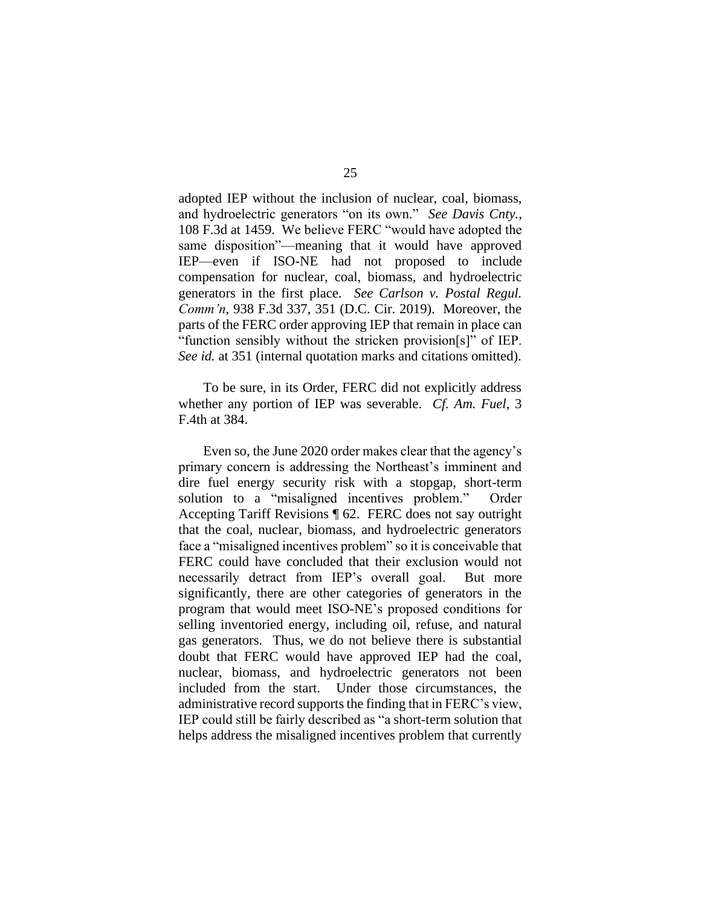adopted IEP without the inclusion of nuclear, coal, biomass, and hydroelectric generators "on its own." *See Davis Cnty.*, 108 F.3d at 1459. We believe FERC "would have adopted the same disposition"—meaning that it would have approved IEP—even if ISO-NE had not proposed to include compensation for nuclear, coal, biomass, and hydroelectric generators in the first place. *See Carlson v. Postal Regul. Comm'n*, 938 F.3d 337, 351 (D.C. Cir. 2019). Moreover, the parts of the FERC order approving IEP that remain in place can "function sensibly without the stricken provision[s]" of IEP. *See id.* at 351 (internal quotation marks and citations omitted).

To be sure, in its Order, FERC did not explicitly address whether any portion of IEP was severable. *Cf. Am. Fuel*, 3 F.4th at 384.

Even so, the June 2020 order makes clear that the agency's primary concern is addressing the Northeast's imminent and dire fuel energy security risk with a stopgap, short-term solution to a "misaligned incentives problem." Order Accepting Tariff Revisions ¶ 62. FERC does not say outright that the coal, nuclear, biomass, and hydroelectric generators face a "misaligned incentives problem" so it is conceivable that FERC could have concluded that their exclusion would not necessarily detract from IEP's overall goal. But more significantly, there are other categories of generators in the program that would meet ISO-NE's proposed conditions for selling inventoried energy, including oil, refuse, and natural gas generators. Thus, we do not believe there is substantial doubt that FERC would have approved IEP had the coal, nuclear, biomass, and hydroelectric generators not been included from the start. Under those circumstances, the administrative record supports the finding that in FERC's view, IEP could still be fairly described as "a short-term solution that helps address the misaligned incentives problem that currently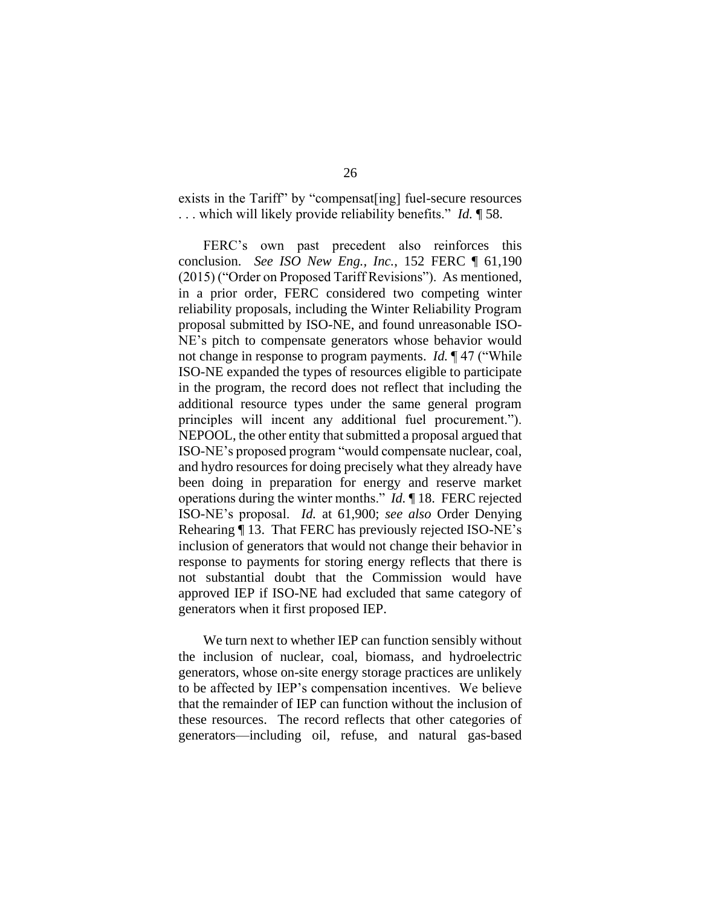exists in the Tariff" by "compensat[ing] fuel-secure resources . . . which will likely provide reliability benefits." *Id.* ¶ 58.

FERC's own past precedent also reinforces this conclusion. *See ISO New Eng., Inc.*, 152 FERC ¶ 61,190 (2015) ("Order on Proposed Tariff Revisions"). As mentioned, in a prior order, FERC considered two competing winter reliability proposals, including the Winter Reliability Program proposal submitted by ISO-NE, and found unreasonable ISO-NE's pitch to compensate generators whose behavior would not change in response to program payments. *Id.* ¶ 47 ("While ISO-NE expanded the types of resources eligible to participate in the program, the record does not reflect that including the additional resource types under the same general program principles will incent any additional fuel procurement."). NEPOOL, the other entity that submitted a proposal argued that ISO-NE's proposed program "would compensate nuclear, coal, and hydro resources for doing precisely what they already have been doing in preparation for energy and reserve market operations during the winter months." *Id.* ¶ 18. FERC rejected ISO-NE's proposal. *Id.* at 61,900; *see also* Order Denying Rehearing ¶ 13. That FERC has previously rejected ISO-NE's inclusion of generators that would not change their behavior in response to payments for storing energy reflects that there is not substantial doubt that the Commission would have approved IEP if ISO-NE had excluded that same category of generators when it first proposed IEP.

We turn next to whether IEP can function sensibly without the inclusion of nuclear, coal, biomass, and hydroelectric generators, whose on-site energy storage practices are unlikely to be affected by IEP's compensation incentives. We believe that the remainder of IEP can function without the inclusion of these resources. The record reflects that other categories of generators—including oil, refuse, and natural gas-based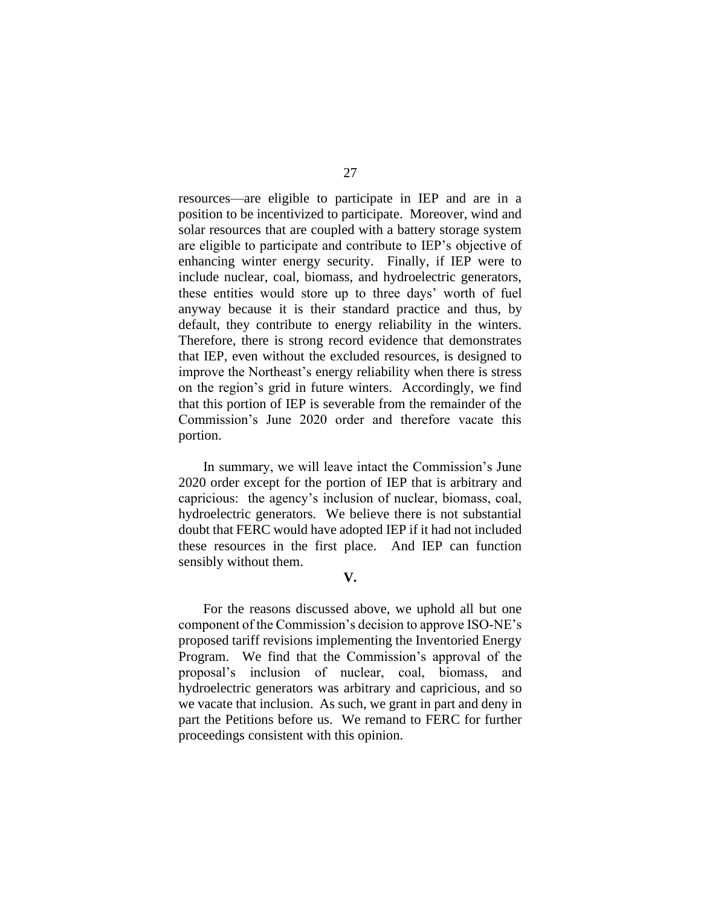resources—are eligible to participate in IEP and are in a position to be incentivized to participate. Moreover, wind and solar resources that are coupled with a battery storage system are eligible to participate and contribute to IEP's objective of enhancing winter energy security. Finally, if IEP were to include nuclear, coal, biomass, and hydroelectric generators, these entities would store up to three days' worth of fuel anyway because it is their standard practice and thus, by default, they contribute to energy reliability in the winters. Therefore, there is strong record evidence that demonstrates that IEP, even without the excluded resources, is designed to improve the Northeast's energy reliability when there is stress on the region's grid in future winters. Accordingly, we find that this portion of IEP is severable from the remainder of the Commission's June 2020 order and therefore vacate this portion.

In summary, we will leave intact the Commission's June 2020 order except for the portion of IEP that is arbitrary and capricious: the agency's inclusion of nuclear, biomass, coal, hydroelectric generators. We believe there is not substantial doubt that FERC would have adopted IEP if it had not included these resources in the first place. And IEP can function sensibly without them.

# **V.**

For the reasons discussed above, we uphold all but one component of the Commission's decision to approve ISO-NE's proposed tariff revisions implementing the Inventoried Energy Program. We find that the Commission's approval of the proposal's inclusion of nuclear, coal, biomass, and hydroelectric generators was arbitrary and capricious, and so we vacate that inclusion. As such, we grant in part and deny in part the Petitions before us. We remand to FERC for further proceedings consistent with this opinion.